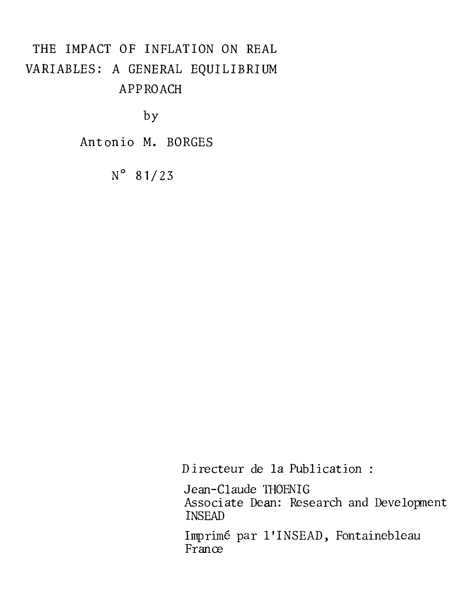# THE IMPACT OF INFLATION ON REAL VARIABLES: A GENERAL EQUILIBRIUM APPROACH

by

Antonio M. BORGES

 $N^{\circ}$  81/23

Directeur de la Publication :

Jean-Claude THOENIG Associate Dean: Research and Development INSEAD

Imprimé par l'INSEAD, Fontainebleau France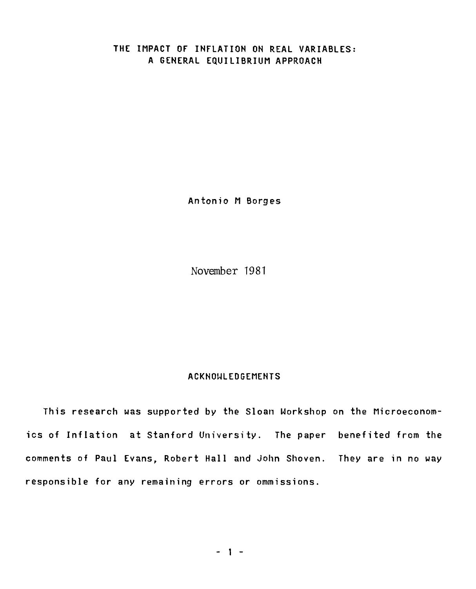## **THE IMPACT OF INFLATION ON REAL VARIABLES: A GENERAL EQUILIBRIUM APPROACH**

**Antonio M Borges** 

November 1981

#### **ACKNOWLEDGEMENTS**

**This research was supported by the Sloan Workshop on the Microeconomics of Inflation at Stanford University. The paper benefited from the comments of Paul Evans, Robert Hall and John Shoven. They are in no way responsible for any remaining errors or ommissions.**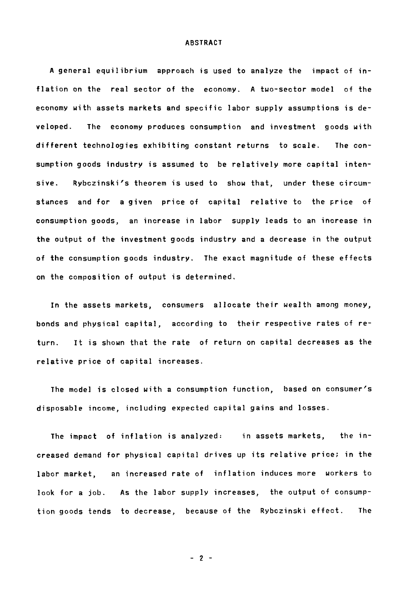#### ABSTRACT

A general equilibrium approach is used to analyze the impact of inflation on the real sector of the economy. A two-sector model of the economy with assets markets and specific labor supply assumptions is developed. The economy produces consumption and investment goods with different technologies exhibiting constant returns to scale. The consumption goods industry is assumed to be relatively more capital intensive. Rybczinski's theorem is used to show that, under these circumstances and for a given price of capital relative to the price of consumption goods, an increase in labor supply leads to an increase in the output of the investment goods industry and a decrease in the output of the consumption goods industry. The exact magnitude of these effects on the composition of output is determined.

In the assets markets, consumers allocate their wealth among money, bonds and physical capital, according to their respective rates of return. It is shown that the rate of return on capital decreases as the relative price of capital increases.

The model is closed with a consumption function, based on consumer's disposable income, including expected capital gains and losses.

The impact of inflation is analyzed: in assets markets, the increased demand for physical capital drives up its relative price; in the labor market, an increased rate of inflation induces more workers to look for a job. As the labor supply increases, the output of consumption goods tends to decrease, because of the Rybczinski effect. The

 $- 2 -$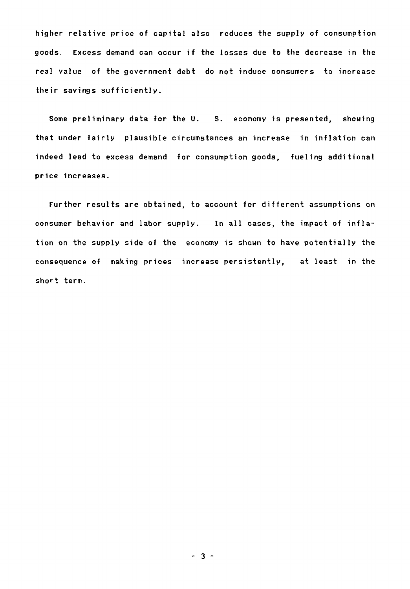**higher relative price of capital also reduces the supply of consumption**  goods. Excess demand can occur if the losses due to the decrease in the real value of the government debt do not induce consumers to increase **their savings sufficiently.** 

**Some preliminary data for the U. S. economy is presented, showing that under fairly plausible circumstances an increase in inflation can indeed lead to excess demand for consumption goods, fueling additional price increases.** 

**Further results are obtained, to account for different assumptions on**  consumer behavior and labor supply. In all cases, the impact of infla**tion on the supply side of the economy is shown to have potentially the consequence of making prices increase persistently, at least in the short term.**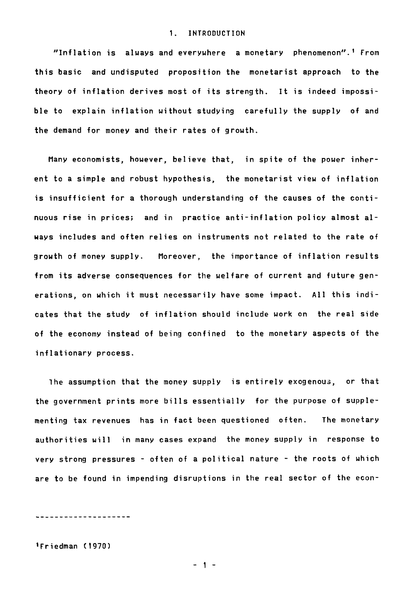#### **1. INTRODUCTION**

**"Inflation is always and everywhere a monetary phenomenon".' From this basic and undisputed proposition the monetarist approach to the theory of inflation derives most of its strength. It is indeed impossible to explain inflation without studying carefully the supply of and the demand for money and their rates of growth.** 

**Many economists, however, believe that, in spite of the power inherent to a simple and robust hypothesis, the monetarist view of inflation is insufficient for a thorough understanding of the causes of the continuous rise in prices; and in practice anti-inflation policy almost always includes and often relies on instruments not related to the rate of growth of money supply. Moreover, the importance of inflation results from its adverse consequences for the welfare of current and future generations, on which it must necessarily have some impact. Ail this indicates that the study of inflation should include work on the real side of the economy instead of being confined to the monetary aspects of the inflationary process.** 

**ihe assumption that the money supply is entirely exogenou3, or that the government prints more bills essentially for the purpose of supplementing tax revenues has in fact been questioned often. The monetary authorities will in many cases expand the money supply in response to**  very strong pressures - often of a political nature - the roots of which **are to be found in impending disruptions in the real sector of the econ-** 

------------------

**'Friedman (1970)**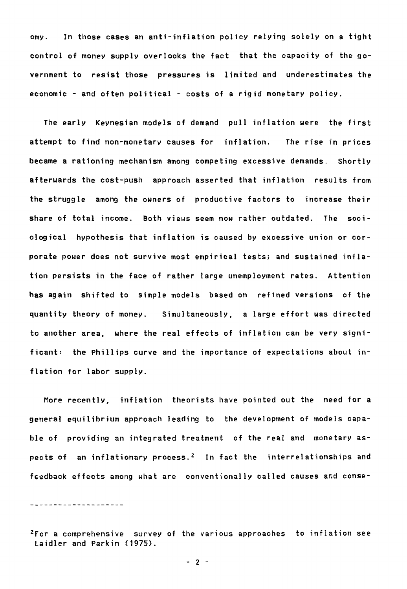**omy. In those cases an anti-inflation policy relying solely on a tight control of money supply overlooks the fact that the capacity of the government to resist those pressures is limited and underestimates the economic - and often political - costs of a rigid monetary policy.** 

**The early Keynesian models of demand pull inflation were the first attempt to find non-monetary causes for inflation. The rise in prices became a rationing mechanism among competing excessive demands. Shortly afterwards the cost-push approach asserted that inflation results from the struggle among the owners of productive factors to increase their share of total income. Both views seem now rather outdated. The sociological hypothesis that inflation is caused by excessive union or corporate power does not survive most empirical tests; and sustained inflation persists in the face of rather large unemployment rates. Attention has again shifted to simple models based on refined versions of the quantity theory of money. Simultaneously, a large effort was directed to another area, where the real effects of inflation can be very significant: the Phillips curve and the importance of expectations about in**flation for labor supply.

**More recently, inflation theorists have pointed out the need for a general equilibrium approach leading to the development of models capable of providing an integrated treatment of the real and monetary aspects of an inflationary process.2 In fact the interrelationships and**  feedback effects among what are conventionally called causes and conse-

\_\_\_\_\_\_\_\_\_\_\_\_\_\_\_\_\_\_\_\_

**2For a comprehensive survey of the various approaches to inflation see Laidler and Parkin (1975).**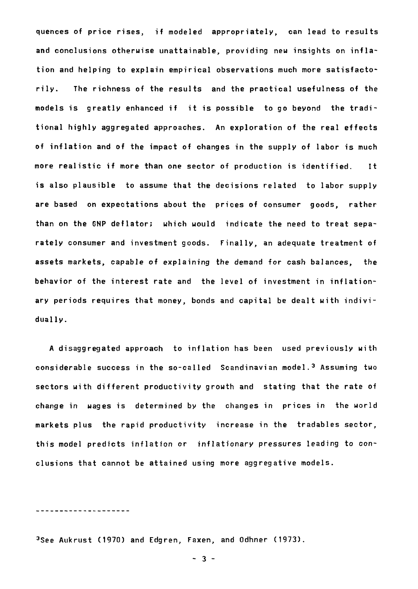quences of price rises, if modeled appropriately, can lead to results and conclusions otherwise unattainable, providing new insights on inflation and helping to explain empirical observations much more satisfactorily. The richness of the results and the practical usefulness of the models is greatly enhanced if it is possible to go beyond the traditional highly aggregated approaches. An exploration of the real effects of inflation and of the impact of changes in the supply of labor is much more realistic if more than one sector of production is identified. It is also plausible to assume that the decisions related to labor supply are based on expectations about the prices of consumer goods, rather than on the GNP deflator; which would indicate the need to treat separately consumer and investment goods. Finally, an adequate treatment of assets markets, capable of explaining the demand for cash balances, the behavior of the interest rate and the level of investment in inflationary periods requires that money, bonds and capital be dealt with individually.

A disaggregated approach to inflation has been used previously with considerable success in the so-called Scandinavian model.3 Assuming two sectors with different productivity growth and stating that the rate of change in wages is determined by the changes in prices in the world markets plus the rapid productivity increase in the tradables sector, this model predicts inflation or inflationary pressures leading to conclusions that cannot be attained using more aggregative models.

<u>-------------------</u>-

3See Aukrust (1970) and Edgren, Faxen, and Odhner (1973).

 $-3 -$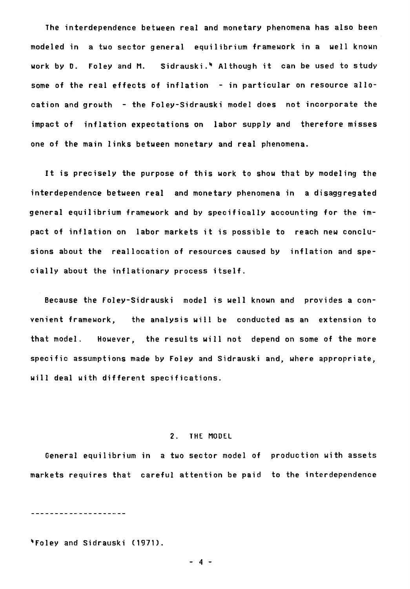**The interdependence between real and monetary phenomena has also been modeled in a two sector general equilibrium framework in a well known work by D. Foley and M. Sidrauski.4 Although it can be used to study some of the real effects of inflation - in particular on resource allocation and growth - the Foley-Sidrauski model does not incorporate the impact of inflation expectations on labor supply and therefore misses one of the main links between monetary and real phenomena.** 

**It is precisely the purpose of this work to show that by modeling the interdependence between real and monetary phenomena in a disaggregated general equilibrium framework and by specifically accounting for the impact of inflation on labor markets it is possible to reach new conclusions about the reallocation of resources caused by inflation and specially about the inflationary process itself.** 

**Because the Foley-Sidrauski model is well known and provides a convenient framework, the analysis will be conducted as an extension to that model. However, the results will not depend on some of the more specific assumptions made by Foley and Sidrauski and, where appropriate, will deal with different specifications.** 

#### **2. THE MODEL**

**General equilibrium in a two sector model of production with assets markets requires that careful attention be paid to the interdependence** 

---------------------

**4 Fo1ey and Sidrauski (1971).** 

**- 4**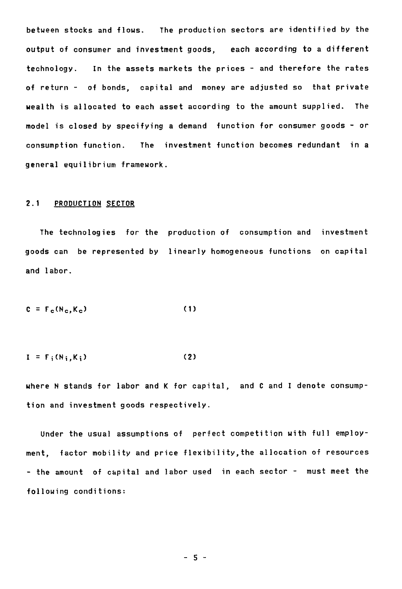**between stocks and flows. The production sectors are identified by the output of consumer and investment goods, each according to a different technology. In the assets markets the prices - and therefore the rates of return - of bonds, capital and money are adjusted so that private wealth is allocated to each asset according to the amount supplied. The model is closed by specifying a demand function for consumer goods - or consumption function. The investment function becomes redundant in a general equilibrium framework.** 

## **2.1 PRODUCTION SECTOR**

**The technologies for the production of consumption and investment goods can be represented by linearly homogeneous functions on capital and labor.** 

$$
C = F_c(N_c, K_c)
$$
 (1)

$$
I = F_i(N_i, K_i)
$$
 (2)

**where N stands for labor and K for capital, and C and I denote consumption and investment goods respectively.** 

**Under the usual assumptions of perfect competition with full employment, factor mobility and price flexibility,the allocation of resources - the amount of capital and labor used in each sector - must meet the following conditions:** 

**- 5 -**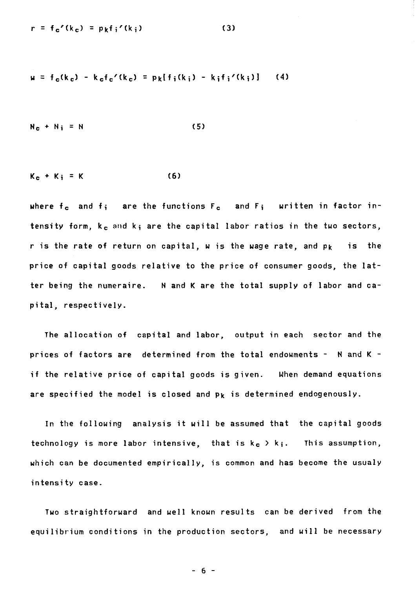$$
r = f_c'(k_c) = p_k f_i'(k_i)
$$
 (3)

$$
u = f_c(k_c) - k_c f_c'(k_c) = p_k[f_i(k_i) - k_i f_i'(k_i)]
$$
 (4)

$$
N_c + N_i = N \tag{5}
$$

$$
K_{c} + K_{i} = K \qquad (6)
$$

where f<sub>c</sub> and f; are the functions F<sub>c</sub> and F; written in factor in**tensity form, <sup>k</sup> <sup>e</sup>and ki are the capital labor ratios in the two sectors, r is the rate of return on capital, w is the wage rate, and pk is the price of capital goods relative to the price of consumer goods, the latter being the numeraire. N and K are the total supply of labor and capital, respectively.** 

**The allocation of capital and labor, output in each sector and the prices of factors are determined from the total endowments - N and K if the relative price of capital goods is given. When demand equations are specified the model is closed and pk is determined endogenously.** 

**In the following analysis it will be assumed that the capital goods technology** is more labor intensive, that is  $k_c > k_i$ . This assumption, **which can be documented empirically, is common and has become the usualy intensity case.** 

**Two straightforward and well known results can be derived from the equilibrium conditions in the production sectors, and will be necessary** 

**- 6 -**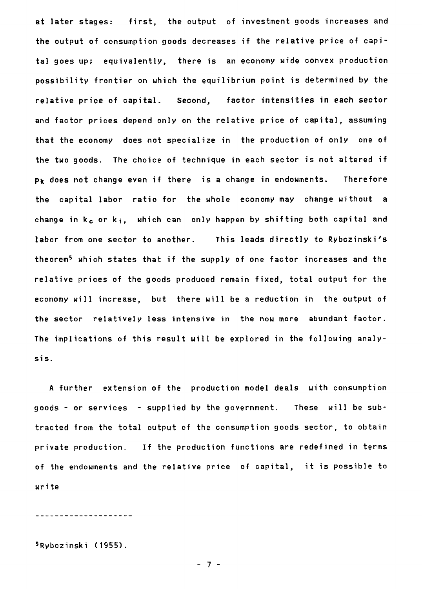**at later stages: first, the output of investment goods increases and the output of consumption goods decreases if the relative price of capital goes up; equivalently, there is an economy wide convex production possibility frontier on which the equilibrium point is determined by the relative price of capital. Second, factor intensities in each sector and factor prices depend only on the relative price of capital, assuming that the economy does not specialize in the production of only one of the two goods. The choice of technique in each sector is not altered if pk does not change even if there is a change in endowments. Therefore the capital labor ratio for the whole economy may change without a**  change in  $k_c$  or  $k_i$ , which can only happen by shifting both capital and **labor from one sector to another. This leads directly to Rybczinski's theorem5which states that if the supply of one factor increases and the relative prices of the goods produced remain fixed, total output for the economy will increase, but there will be a reduction in the output of the sector relatively less intensive in the now more abundant factor. The implications of this result will be explored in the following analysis.** 

**A further extension of the production model deals with consumption goods - or services - supplied by the government. These will be subtracted from the total output of the consumption goods sector, to obtain private production. If the production functions are redefined in terms of the endowments and the relative price of capital, it is possible to write** 

---------------------

**5 Rybczinski (1955).**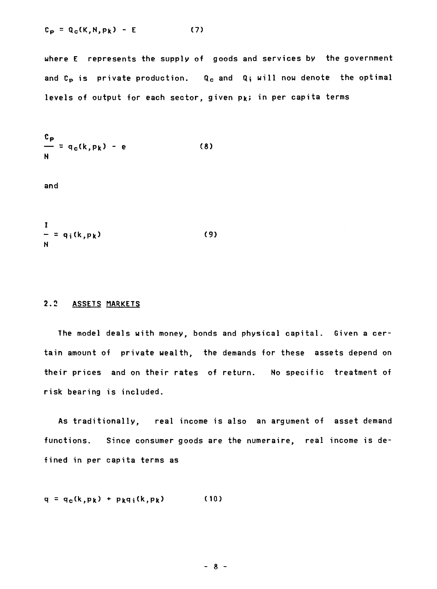$$
C_p = Q_c(K, N, p_k) - E \qquad (7)
$$

**where E represents the supply of goods and services by the government**  and C<sub>p</sub> is private production. Q<sub>c</sub> and Q<sub>i</sub> will now denote the optimal **levels of output for each sector, given pk; in per capita terms** 

$$
\frac{c_p}{m} = q_c(k, p_k) - e
$$
 (8)

**and** 

$$
\frac{I}{N} = q_i(k, p_k) \tag{9}
$$

## **2.2 ASSETS MARKETS**

**The model deals with money, bonds and physical capital. Given a certain amount of private wealth, the demands for these assets depend on their prices and on their rates of return. No specific treatment of risk bearing is included.** 

**As traditionally, real income is also an argument of asset demand functions. Since consumer goods are the numeraire, real income is defined in per capita terms as** 

 $q = q_c(k, pk) + p_kq_i(k, pk)$  (10)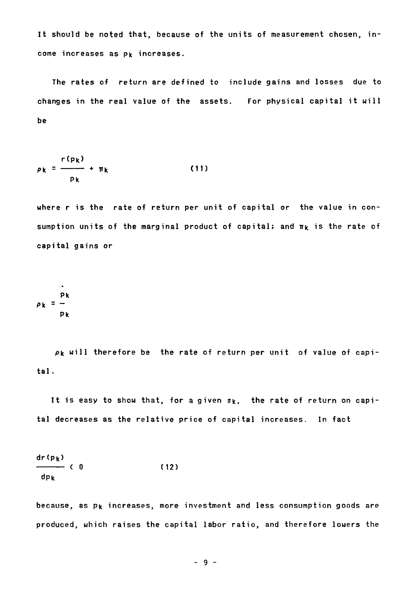**It should be noted that, because of the units of measurement chosen, in**come increases as p<sub>k</sub> increases.

**The rates of return are defined to include gains and losses due to changes in the real value of the assets. For physical capital it will be** 

$$
\rho_k = \frac{r(p_k)}{p_k} + \pi_k \tag{11}
$$

**where r is the rate of return per unit of capital or the value in con**sumption units of the marginal product of capital; and  $\pi_k$  is the rate of **capital gains or** 

$$
\rho_k = \frac{p_k}{p_k}
$$

 $\ddot{\phantom{0}}$ 

**pk will therefore be the rate of return per unit of value of capital.** 

It is easy to show that, for a given  $n_k$ , the rate of return on capi**tal decreases as the relative price of capital increases. In fact** 

$$
\frac{dr(p_k)}{dp_k} < 0 \tag{12}
$$

**because, as pk increases, more investment and less consumption goods are produced, which raises the capital labor ratio, and therefore lowers the** 

**- 9**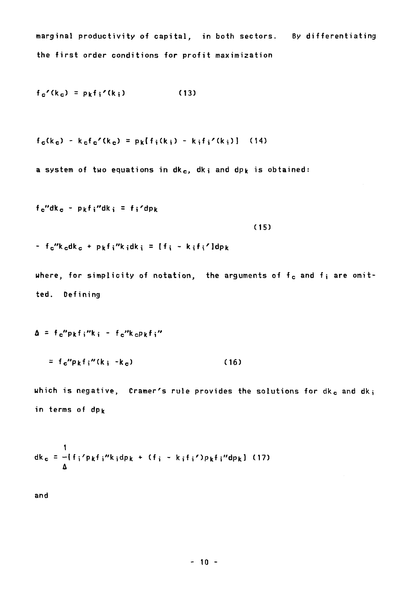marginal productivity of capital, in both sectors. Dy differentiating the first order conditions for profit maximization

$$
f_c'(k_c) = p_k f_i'(k_i)
$$
 (13)

$$
f_{\mathbf{c}}(k_{\mathbf{c}}) - k_{\mathbf{c}}f_{\mathbf{c}}'(k_{\mathbf{c}}) = p_{k}[f_{i}(k_{i}) - k_{i}f_{i}'(k_{i})]
$$
 (14)

a system of two equations in  $dk_c$ ,  $dk_i$  and dp<sub>k</sub> is obtained:

 $f_c$ "dk<sub>c</sub> - p<sub>k</sub>f<sub>i</sub>"dk<sub>i</sub> = f<sub>i</sub>'dp<sub>k</sub>

(15)

 $-$  f<sub>c</sub>"k<sub>c</sub>dk<sub>c</sub> + p<sub>k</sub>f<sub>i</sub>"k<sub>i</sub>dk<sub>i</sub> = [f<sub>i</sub> - k<sub>i</sub>f<sub>i</sub>']dp<sub>k</sub>

where, for simplicity of notation, the arguments of  $f_c$  and  $f_i$  are omitted. Defining

 $\Delta$  = f<sub>c</sub>"pkfi"k<sub>i</sub> - f<sub>c</sub>"k<sub>c</sub>Pkfi"

 $= f_c''p_kf_i''(k_i - k_c)$  (16)

which is negative, Cramer's rule provides the solutions for  $dk_c$  and  $dk_i$ in terms of dpk

$$
dk_c = -[f_i'p_kf_i''k_idp_k + (f_i - k_if_i')p_kf_i''dp_k]
$$
 (17)

and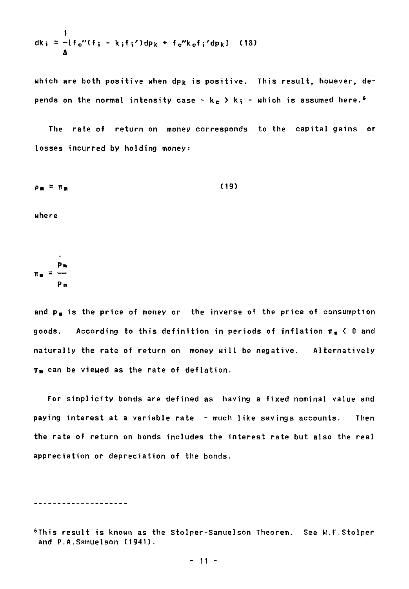$$
dk_i = -[f_c''(f_i - k_i f_i')dp_k + f_c''k_c f_i'dp_k]
$$
 (18)

**which are both positive when dpk is positive. This result, however, depends on the normal intensity case -**  $k_c > k_i$  **- which is assumed here.<sup>6</sup>** 

**The rate of return on money corresponds to the capital gains or losses incurred by holding money:** 

$$
\rho_m = \pi_m \tag{19}
$$

**where** 

$$
\pi_m = \frac{p_m}{p_m}
$$

and p<sub>m</sub> is the price of money or the inverse of the price of consumption **goods. According to this definition in periods of inflation n m< 0 and naturally the rate of return on money will be negative. Alternatively n ecan be viewed as the rate of deflation.** 

**For simplicity bonds are defined as having a fixed nominal value and paying interest at a variable rate - much like savings accounts. Then the rate of return on bonds includes the interest rate but also the real appreciation or depreciation of the bonds.** 

**'This result is known as the Stolper-Samuelson Theorem. See W.F.Stolper and P.A.Samuelson (1941).**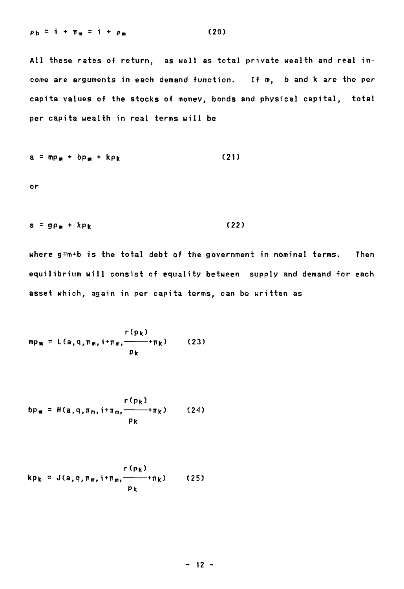$$
\rho_{\mathbf{b}} = \mathbf{i} + \mathbf{m}_{\mathfrak{m}} = \mathbf{i} + \rho_{\mathfrak{m}} \tag{20}
$$

**Ail these rates of return, as well as total private wealth and real incorne are arguments in each demand function. If m, b and k are the per capita values of the stocks of money, bonds and physical capital, total per capita wealth in real terms will be** 

$$
a = mp_m + bp_m + kp_k \qquad (21)
$$

**or** 

$$
a = gp_m + kp_k \tag{22}
$$

**where g=m+b is the total debt of the government in nominal terms. Then equilibrium will consist of equality between supply and demand for each asset which, again in per capita terms, can be written as** 

$$
mp_m = L(a,q,\pi_m,i+\pi_m,\frac{\Gamma(p_k)}{p_k})
$$
 (23)

$$
bp_m = H(a,q,\pi_m,i+\pi_m,\frac{r(p_k)}{p_k})
$$
 (24)

$$
kp_k = J(a,q,\pi_m,i+\pi_m,\frac{r(p_k)}{p_k})
$$
 (25)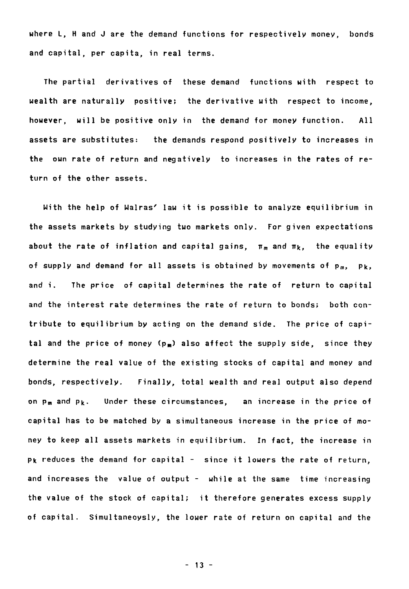where L, H and J are the demand functions for respectively money, bonds and capital, per capita, in real terms.

The partial derivatives of these demand functions with respect to wealth are naturally positive; the derivative with respect to income, however, will be positive only in the demand for money function. Ail assets are substitutes: the demands respond positively to increases in the own rate of return and negatively to increases in the rates of return of the other assets.

With the help of Walras' law it is possible to analyze equilibrium in the assets markets by studying two markets only. For given expectations about the rate of inflation and capital gains,  $\pi_m$  and  $\pi_k$ , the equality of supply and demand for all assets is obtained by movements of  $p_m$ ,  $p_k$ , and i. The price of capital determines the rate of return to capital and the interest rate determines the rate of return to bonds; both contribute to equilibrium by acting on the demand side. The price of capital and the price of money  $(p_m)$  also affect the supply side, since they determine the real value of the existing stocks of capital and money and bonds, respectively. Finally, total wealth and real output also depend on  $p_m$  and  $p_k$ . Under these circumstances, an increase in the price of capital has to be matched by a simultaneous increase in the price of money to keep all assets markets in equilibrium. In fact, the increase in **pk** reduces the demand for capital - since it lowers the rate of return, and increases the value of output - while at the same time increasing the value of the stock of capital; it therefore generates excess supply of capital. Simultaneoysly, the lower rate of return on capital and the

- 13 -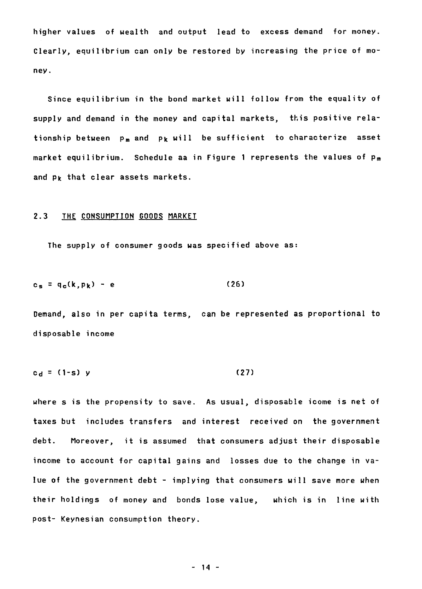**higher values of wealth and output lead to excess demand for money. Clearly, equilibrium can only be restored by increasing the price of money.** 

**Since equilibrium in the bond market will follow from the equality of supply and demand in the money and capital markets, this positive rela**tionship between p<sub>m</sub> and p<sub>k</sub> will be sufficient to characterize asset market equilibrium. Schedule aa in Figure 1 represents the values of p<sub>m</sub> **and pk that clear assets markets.** 

## **2.3 THE CONSUMPTION GOODS MARKET**

**The supply of consumer goods was specified above as:** 

$$
c_s = q_c(k, p_k) - e \qquad (26)
$$

**Demand, also in per capita terms, can be represented as proportional to disposable income** 

$$
c_d = (1-s) y
$$
 (27)

**where s is the propensity to save. As usual, disposable icome is net of taxes but includes transfers and interest received on the government debt. Moreover, it is assumed that consumers adjust their disposable**  income to account for capital gains and losses due to the change in va**lue of the government debt - implying that consumers will save more when their holdings of money and bonds Jose value, which is in line with post- Keynesian consumption theory.** 

**- 14 -**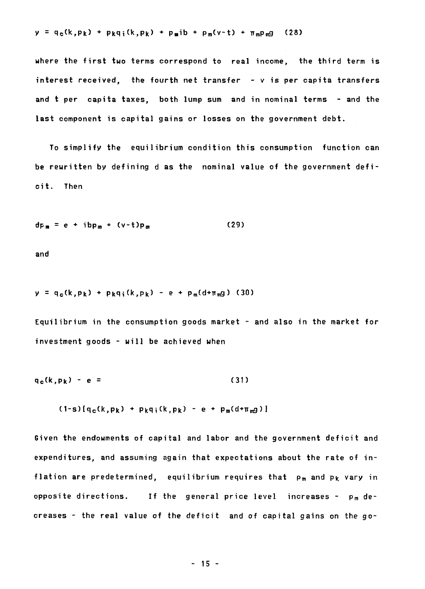$$
y = q_c(k, p_k) + p_k q_i(k, p_k) + p_m ib + p_m(v-t) + \pi_m p_m g
$$
 (28)

**where the first two terms correspond to real income, the third term is interest received, the fourth net transfer - v is per capita transfers and t per capita taxes, both lump sum and in nominal terms - and the last component is capital gains or losses on the government debt.** 

**To simplify the equilibrium condition this consumption function can be rewritten by defining d as the nominal value of the government deficit. Then** 

$$
dp_m = e + ibp_m + (v-t)p_m \qquad (29)
$$

**and** 

 $y = q_c(k, p_k) + p_k q_i(k, p_k) - e + p_m(d+m_m g)$  (30)

**Equilibrium in the consumption goods market - and also in the market for investment goods - will be achieved when** 

$$
q_c(k, p_k) - e = (31)
$$

 $(1-s) [q_c(k, p_k) + p_k q_i(k, p_k) - e + p_m(d+m_m g)]$ 

**Given the endowments of capital and Tabor and the government deficit and expenditures, and assuming again that expectations about the rate of in**flation are predetermined, equilibrium requires that p<sub>m</sub> and p<sub>k</sub> vary in **opposite directions.** If the general price level increases -  $p_m$  de**creases - the real value of the deficit and of capital gains on the go-**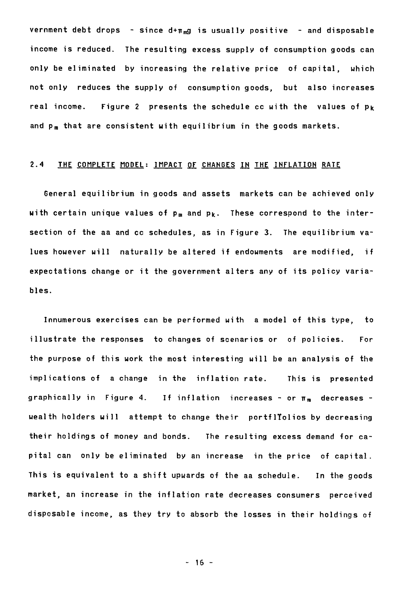**vernment debt drops - since d+r mg is usually positive - and disposable income is reduced. The resulting excess supply of consumption goods can only be eliminated by increasing the relative price of capital, which not only reduces the supply of consumption goods, but also increases real income. Figure 2 presents the schedule cc with the values of Pk**  and p<sub>m</sub> that are consistent with equilibrium in the goods markets.

## **2.4 THE COMPLETE MODEL: IMPACT OF CHANGES IN THE INFLATION RATE**

**General equilibrium in goods and assets markets can be achieved only**  with certain unique values of p<sub>m</sub> and p<sub>k</sub>. These correspond to the inter**section of the aa and cc schedules, as in Figure 3. The equilibrium values however will naturally be altered if endowments are modified, if expectations change or it the government alters any of its policy variables.** 

**Innumerous exercises can be performed with a model of this type, to illustrate the responses to changes of scenarios or of policies. For the purpose of this work the most interesting will be an analysis of the implications of a change in the inflation rate. This is presented**  graphically in Figure 4. If inflation increases - or  $\pi_m$  decreases **wealth holders will attempt to change their portfltolios by decreasing their holdings of money and bonds. The resulting excess demand for capital can only be eliminated by an increase in the price of capital. This is equivalent to a shift upwards of the aa schedule. In the goods market, an increase in the inflation rate decreases consumers perceived disposable income, as they try to absorb the losses in their holdings of** 

**- 16 -**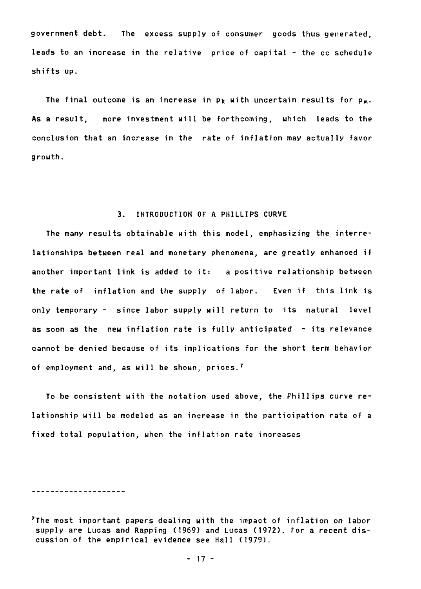government debt. The excess supply of consumer goods thus generated, leads to an increase in the relative price of capital - the cc schedule shifts up.

The final outcome is an increase in  $p_k$  with uncertain results for  $p_m$ . As a result, more investment will be forthcoming, which leads to the conclusion that an increase in the rate of inflation may actually favor growth.

## 3. INTRODUCTION OF A PHILLIPS CURVE

The many results obtainable with this model, emphasizing the interrelationships between real and monetary phenomena, are greatly enhanced if another important link is added to it: a positive relationship between the rate of inflation and the supply of labor. Even if this link is only temporary - since labor supply will return to its natural level as soon as the new inflation rate is fully anticipated - its relevance cannot be denied because of its implications for the short term behavior of employment and, as will be shown, prices.<sup>7</sup>

To be consistent with the notation used above, the Phillips curve relationship will be modeled as an increase in the participation rate of a fixed total population, when the inflation rate increases

<sup>7</sup>The most important papers dealing with the impact of inflation on labor supply are Lucas and Rapping (1969) and Lucas (1972). For a recent discussion of the empirical evidence see Hall (1979).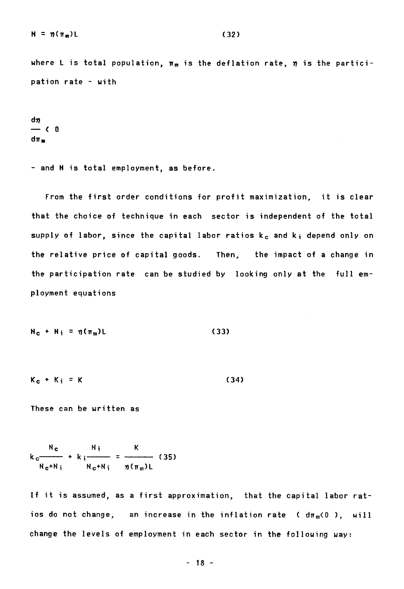$$
N = \eta(\pi_m)L \tag{32}
$$

where L is total population,  $\boldsymbol{\pi}_m$  is the deflation rate,  $\boldsymbol{\eta}$  is the partici**pation rate - with** 

$$
\frac{d\eta}{\eta_{\mathfrak{m}}} < 0
$$

**- and N is total employment, as before.** 

**From the first order conditions for profit maximization, it is clear that the choice of technique in each sector is independent of the total**  supply of labor, since the capital labor ratios k<sub>c</sub> and k<sub>i</sub> depend only on **the relative price of capital goods. Then, the impact of a change in the participation rate can be studied by looking only at the full employment equations** 

$$
N_c + N_i = \eta(\pi_m)L \qquad (33)
$$

$$
K_c + K_i = K \tag{34}
$$

**These can be written as** 

$$
k_{c} \frac{N_{c}}{N_{c}+N_{i}} + k_{i} \frac{N_{i}}{N_{c}+N_{i}} = \frac{K}{\eta(\pi_{m})L}
$$
 (35)

**If it is assumed, as a first approximation, that the capital labor rat**ios do not change, an increase in the inflation rate ( dπ<sub>m</sub><0 ), will **change the levels of employment in each sector in the following way:** 

**- 18 -**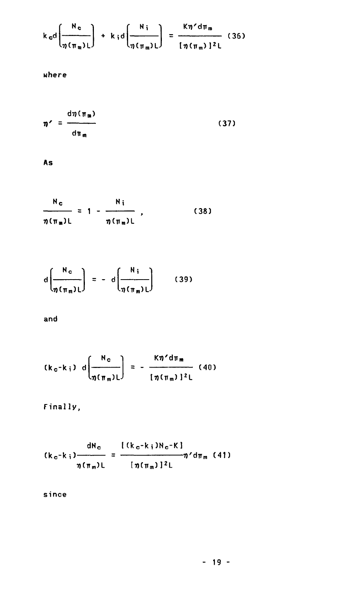$$
k_{\rm c}d\left(\frac{N_{\rm c}}{\eta(\pi_{\rm m})L}\right) + k_{\rm i}d\left(\frac{N_{\rm i}}{\eta(\pi_{\rm m})L}\right) = \frac{K\eta' d\pi_{\rm m}}{[\eta(\pi_{\rm m})]^2L}
$$
 (36)

**where** 

$$
\eta' = \frac{d\eta(\pi_m)}{d\pi_m} \tag{37}
$$

**As** 

$$
\frac{N_c}{\eta(\pi_m)L} = 1 - \frac{N_i}{\eta(\pi_m)L},
$$
 (38)

$$
d\left(\frac{N_c}{\eta(\pi_m)L}\right) = -d\left(\frac{N_i}{\eta(\pi_m)L}\right) \qquad (39)
$$

**and** 

$$
(k_c-k_i) d\left(\frac{N_c}{\eta(\pi_m)L}\right) = -\frac{K\eta'd\pi_m}{[\eta(\pi_m)]^2L}
$$
 (40)

**Finally,** 

$$
(k_{c}-k_{i})\frac{dN_{c}}{\eta(\pi_{m})L}=\frac{[(k_{c}-k_{i})N_{c}-K]}{[\eta(\pi_{m})]^{2}L}\eta'd\pi_{m}
$$
 (41)

**since**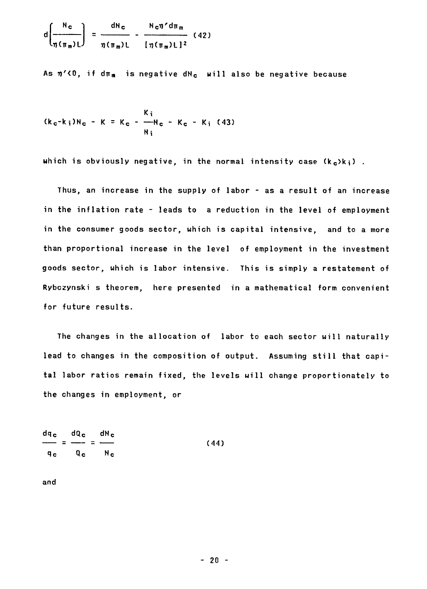$$
d\left(\frac{N_c}{\eta(\pi_m)L}\right) = \frac{dN_c}{\eta(\pi_m)L} - \frac{N_c \eta' d\pi_m}{[\eta(\pi_m)L]^2}
$$
 (42)

As  $\eta$ <sup>'</sup> (0, if d $\pi_{\mathfrak{m}}$  is negative dN<sub>c</sub> will also be negative because

$$
(k_c-k_i)N_c - K = K_c - \frac{K_i}{N_i}
$$

**which is obviously negative, in the normal intensity case (k c)ki) .** 

**Thus, an increase in the supply of labor - as a result of an increase in the inflation rate - leads to a reduction in the level of employment in the consumer goods sector, which is capital intensive, and to a more than proportional increase in the level of employment in the investment goods sector, which is labor intensive. This is simply a restatement of Rybczynski s theorem, here presented in a mathematical form convenient for future resuits.** 

**The changes in the allocation of labor to each sector will naturally lead to changes in the composition of output. Assuming still that capital labor ratios remain fixed, the levels will change proportionately to the changes in employment, or** 

dq<sub>c</sub> dQ<sub>c</sub> dN<sub>c</sub>  $\frac{1}{2}$  =  $\frac{1}{2}$  =  $\frac{1}{2}$  (44) **qc Qc Hc** 

**and**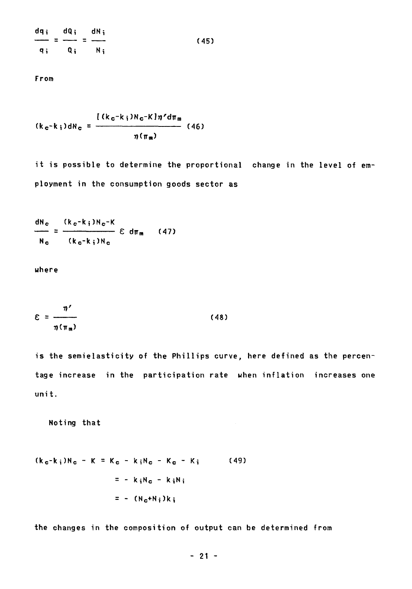**dcli dQi dNi — = — = — (45) qi Qi. Ni** 

**From** 

$$
(k_c-k_i)dh_c = \frac{[(k_c-k_i)N_c-K]\eta'd\pi_m}{\eta(\pi_m)}
$$
 (46)

**it is possible to determine the proportional change in the level of employment in the consumption goods sector as** 

**dN c (k c-ki)Nc-K**   $-$  =  $\frac{1}{2}$   $\frac{1}{2}$   $\frac{1}{2}$   $\frac{1}{2}$   $\frac{1}{2}$   $\frac{1}{2}$   $\frac{1}{2}$   $\frac{1}{2}$   $\frac{1}{2}$   $\frac{1}{2}$   $\frac{1}{2}$   $\frac{1}{2}$   $\frac{1}{2}$   $\frac{1}{2}$   $\frac{1}{2}$   $\frac{1}{2}$   $\frac{1}{2}$   $\frac{1}{2}$   $\frac{1}{2}$   $\frac{1}{2}$   $\frac{1}{2$  $N_c$   $(k_c-k_i)N_c$ 

**where** 

$$
\mathcal{E} = \frac{n'}{n(\pi_m)}
$$
 (48)

**is the semielasticity of the Phillips curve, here defined as the percentage increase in the participation rate when inflation increases one unit.** 

**Noting that** 

$$
(k_{c}-k_{i})N_{c} - K = K_{c} - k_{i}N_{c} - K_{c} - K_{i}
$$
 (49)  

$$
= - k_{i}N_{c} - k_{i}N_{i}
$$
  

$$
= - (N_{c}+N_{i})k_{i}
$$

**the changes in the composition of output can be determined from**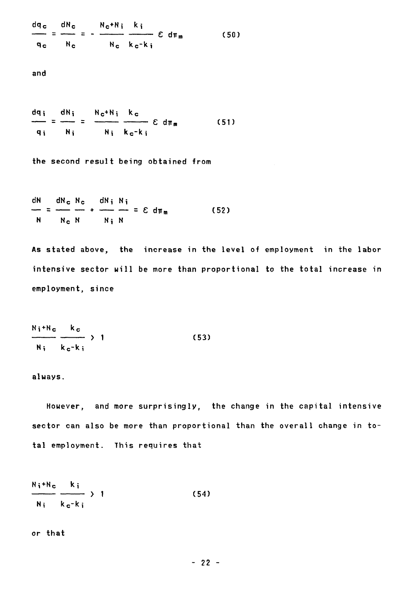dq<sub>c</sub> dN<sub>c</sub> N<sub>c</sub>+N; k;  $\frac{2\pi}{\pi}$  =  $\frac{2\pi}{\pi}$  =  $\frac{2\pi}{\pi}$   $\frac{2\pi}{\pi}$   $\frac{2\pi}{\pi}$   $\frac{2\pi}{\pi}$   $\frac{2\pi}{\pi}$  (50) q<sub>c</sub> N<sub>c</sub> N<sub>c</sub> k<sub>c</sub>-k<sub>i</sub>

and

dqi dNi Nc+Ni kc  $\epsilon$  d $\pi_m$  (51)  $\mathbf{r}$ q<sub>i</sub> N<sub>i</sub> N<sub>i</sub> k<sub>c</sub>-k<sub>i</sub>

the second result being obtained from

dN dNc Nc dNi Ni  $-$  =  $-$  +  $-$  =  $\epsilon$  d<sub>Tm</sub> (52) N N<sub>c</sub> N N<sub>i</sub> N

As stated above, the increase in the level of employment in the labor intensive sector will be more than proportional to the total increase in employment, since

$$
\frac{N_i + N_c}{N_i} \frac{k_c}{k_c - k_i} > 1
$$
 (53)

#### always.

However, and more surprisingly, the change in the capital intensive sector can also be more than proportional than the overall change in total employment. This requires that

$$
\frac{N_i + N_c}{N_i} \frac{k_i}{k_c - k_i} > 1
$$
 (54)

## or that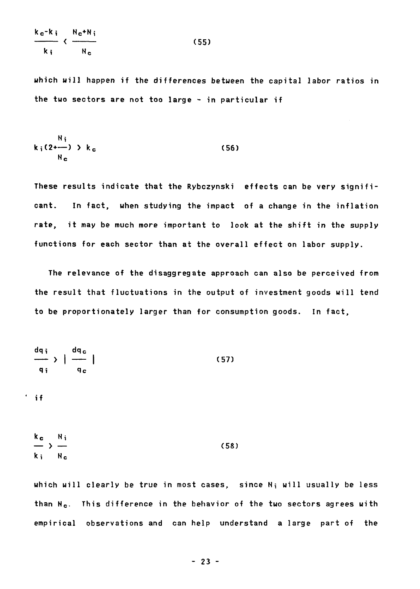$$
\frac{k_{c} - k_{i}}{k_{i}} \leftarrow \frac{N_{c} + N_{i}}{N_{c}}
$$
 (55)

**which will happen if the differences between the capital labor ratios in the two sectors are not too large - in particular if** 

$$
k_i(2 \leftarrow) \rightarrow k_c
$$
 (56)

**These results indicate that the Rybczynski effects can be very significant. In fact, when studying the impact of a change in the inflation rate, it may be much more important to look at the shift in the supply functions for each sector than at the overall effect on labor supply.** 

**The relevance of the disaggregate approach can also be perceived from the result that fluctuations in the output of investment goods will tend to be proportionately larger than for consumption goods. In fact,** 

$$
\frac{dq_i}{q_i} > \frac{dq_c}{q_c}
$$
 (57)

**' if** 

$$
\frac{k_c}{k_i} > \frac{N_i}{N_c}
$$
 (58)

**which will clearly be true in most cases, since Ni will usually be less than N c. This difference in the behavior of the two sectors agrees with empirical observations and can help understand a large part of the**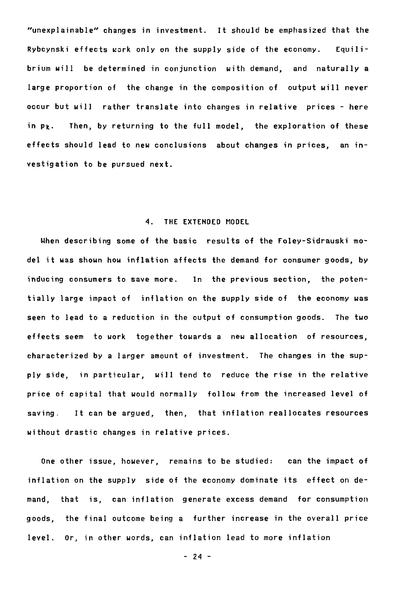"unexplainable" changes in investment. It should be emphasized that the Rybcynski effects work only on the supply side of the economy. Equilibrium will be determined in conjunction with demand, and naturally a large proportion of the change in the composition of output will never occur but will rather translate into changes in relative prices - here in **Pk-** Then, by returning to the full model, the exploration of these effects should lead to new conclusions about changes in prices, an investigation to be pursued next.

## 4. THE EXTENDED MODEL

When describing some of the basic results of the Foley-Sidrauski model it was shown how inflation affects the demand for consumer goods, by inducing consumera to save more. In the previous section, the potentially large impact of inflation on the supply side of the economy was seen to lead to a reduction in the output of consumption goods. The two effects seem to work together towards a new allocation of resources, characterized by a larger amount of investment. The changes in the supply side, in particular, will tend to reduce the rise in the relative price of capital that would normally follow from the increased level of saving. It can be argued, then, that inflation reallocates resources without drastic changes in relative prices.

One other issue, however, remains to be studied: can the impact of inflation on the supply side of the economy dominate its effect on demand, that is, can inflation generate excess demand for consumption goods, the final outcome being a further increase in the overall price level. Or, in other words, can inflation lead to more inflation

- 24 -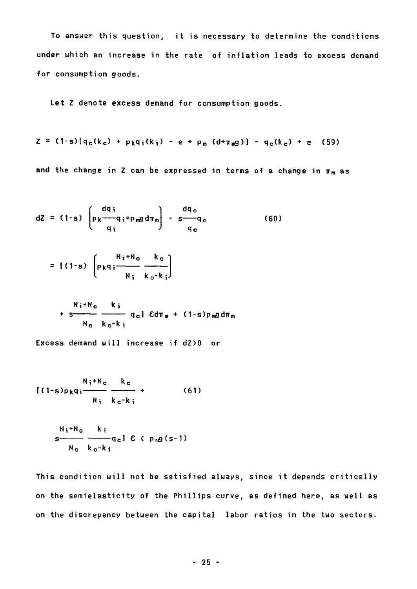To answer this question, it is necessary to determine the conditions under which an increase in the rate of inflation leads to excess demand for consumption goods.

Let Z denote excess demand for consumption goods.

$$
Z = (1-s) [q_c(k_c) + p_k q_i(k_i) - e + p_m (d + \pi_m g)] - q_c(k_c) + e
$$
 (59)

and the change in Z can be expressed in terms of a change in  $\pi_m$  as

$$
dZ = (1-s) \begin{bmatrix} dq_i \\ p_k - q_i + p_m g d\pi_m \\ q_i \end{bmatrix} - \frac{dq_c}{q_c} \tag{60}
$$

$$
= [(1-s) \left( p_k q_i \frac{N_i + N_c}{N_i} \frac{k_c}{k_c - k_i} \right)
$$

$$
+ s \frac{N_i + N_c}{N_c} \frac{k_i}{k_c - k_i} q_c] \quad \text{Ed} \pi_m + (1 - s) p_m g d \pi_m
$$

Excess demand will increase if dZ)0 or

$$
\frac{N_i + N_c}{(1-s)p_kq_i} \xrightarrow{R_c} + \qquad (61)
$$

$$
s \xrightarrow{\text{N}_i + \text{N}_c} \frac{k_i}{s \xrightarrow{\text{N}_c} q_c} \frac{k_i}{\epsilon} \epsilon \left( p_{\text{n}} g(s-1) \right)
$$

This condition will not be satisfied always, since it depends critically on the semielasticity of the Phillips curve, as defined here, as well as on the discrepancy between the capital labor ratios in the two sectors.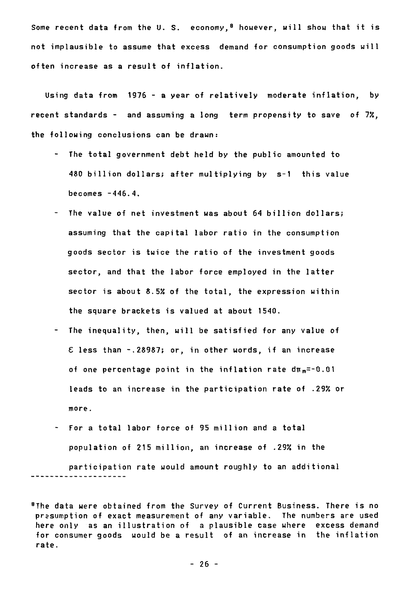Some recent data from the U.S. economy,<sup>8</sup> however, will show that it is not implausible to assume that excess demand for consumption goods will often increase as a result of inflation.

Using data from 1976 - a year of relatively moderate inflation, by recent standards - and assuming a long term propensity to save of 7%, the following conclusions can be drawn:

- The total government debt held by the public amounted to 480 billion dollars; after multiplying by s-1 this value becomes -446.4.
- The value of net investment was about 64 billion dollars; assuming that the capital labor ratio in the consumption goods sector is twice the ratio of the investment goods sector, and that the labor force employed in the latter sector is about 8.5% of the total, the expression within the square brackets is valued at about 1540.
- The inequality, then, will be satisfied for any value of  $E$  less than -.28987; or, in other words, if an increase of one percentage point in the inflation rate  $d\pi_m = 0.01$ leads to an increase in the participation rate of .29% or more.
- For a total labor force of 95 million and a total population of 215 million, an increase of .29% in the participation rate would amount roughly to an additional

<sup>8</sup>The data were obtained from the Survey of Current Business. There is no prasumption of exact measurement of any variable. The numbers are used here only as an illustration of a plausible case where excess demand for consumer goods would be a result of an increase in the inflation rate.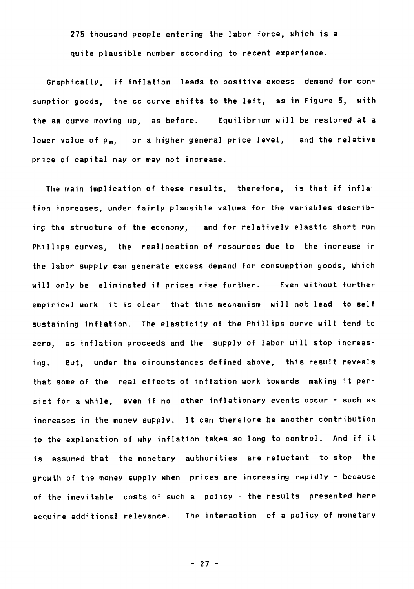**275 thousand people entering the labor force, which is a quite plausible number according to recent experience.** 

**Graphically, if inflation leads to positive excess demand for consumption goods, the cc curve shifts to the left, as in Figure 5, with the aa curve moving up, as before. Equilibrium will be restored at a**  lower value of p<sub>m</sub>, or a higher general price level, and the relative **price of capital may or may not increase.** 

**The main implication of these results, therefore, is that if inflation increases, under fairly plausible values for the variables describing the structure of the economy, and for relatively elastic short run Phillips curves, the reallocation of resources due to the increase in the labor supply can generate excess demand for consumption goods, which will only be eliminated if prices rise further. Even without further empirical work it is clear that this mechanism will not lead to self sustaining inflation. The elasticity of the Phillips curve will tend to zero, as inflation proceeds and the supply of labor will stop increasing. But, under the circumstances defined above, this result reveals that some of the real effects of inflation work towards making it persist for a while, even if no other inflationary events occur - such as increases in the money supply. It can therefore be another contribution to the explanation of why inflation takes so long to control. And if it is assumed that the monetary authorities are reluctant to stop the growth of the money supply when prices are increasing rapidly - because of the inevitable costs of such a policy - the results presented here acquire additional relevante. The interaction of a policy of monetary** 

**- 27 -**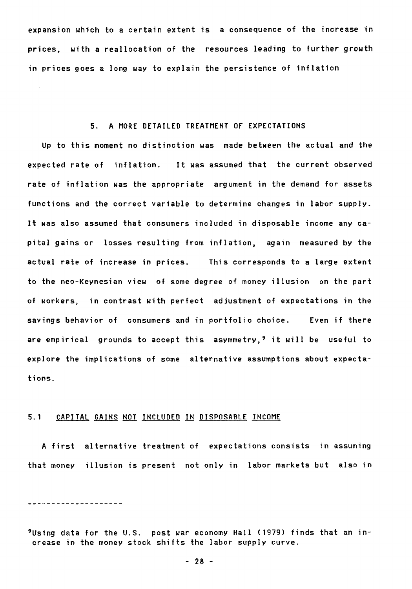**expansion which to a certain extent is a consequence of the increase in prices, with a reallocation of the resources leading to further growth in prices goes a long way to explain the persistence of inflation** 

## **5. A MORE DETAILED TREATMENT OF EXPECTATIONS**

**Up to this moment no distinction was made between the actual and the expected rate of inflation. It was assumed that the current observed rate of inflation was the appropriate argument in the demand for assets functions and the correct variable to determine changes in labor supply. It was also assumed that consumers included in disposable income any capital gains or losses resulting from inflation, again measured by the actual rate of increase in prices. This corresponds to a large extent to the neo-Keynesian view of some degree of money illusion on the part of workers, in contrast with perfect adjustment of expectations in the savings behavior of consumers and in portfolio choice. Even if there are empirical grounds to accept this asymmetry,9 it will be useful to explore the implications of some alternative assumptions about expectations.** 

## **5.1 CAPITAL GAINS NOT INCLUDED IN DISPOSABLE INCOME**

**A first alternative treatment of expectations consists in assuming that money illusion is present not only in labor markets but also in** 

\_\_\_\_\_\_\_\_\_\_\_\_\_\_\_\_\_\_\_\_

**9Using data for the U.S. post war economy Hall (1979) finds that an increase in the money stock shifts the labor supply curve.**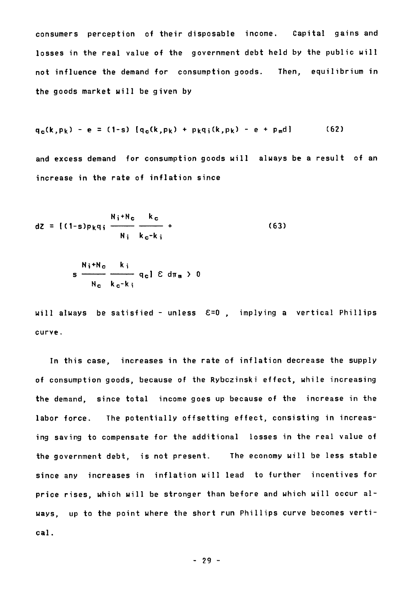**consumers perception of their disposable income. Capital gains and losses in the real value of the government debt held by the public will not influence the demand for consumption goods. Then, equilibrium in the goods market will be given by** 

$$
q_c(k, p_k) - e = (1-s) [q_c(k, p_k) + p_k q_i(k, p_k) - e + p_m d]
$$
 (62)

**and excess demand for consumption goods will always be a result of an increase in the rate of inflation since** 

$$
dZ = \left\{ (1-s)p_kq_i \frac{N_i + N_c}{N_i} \frac{k_c}{k_c - k_i} + \right\}
$$
 (63)

$$
s \frac{N_i + N_c}{N_c} \frac{k_i}{k_c - k_i} q_c l \& d\pi_m > 0
$$

**will always be satisfied - unless E=0 , implying a vertical Phillips curve.** 

**In this case, increases in the rate of inflation decrease the supply of consumption goods, because of the Rybczinski effect, while increasing the demand, since total income goes up because of the increase in the Tabor force. The potentially offsetting effect, consisting in increasing saving to compensate for the additional losses in the real value of the government debt, is not present. The economy will be less stable since any increases in inflation will lead to further incentives for price rises, which will be stronger than before and which will occur always, up to the point where the short run Phillips curve becomes vertical.**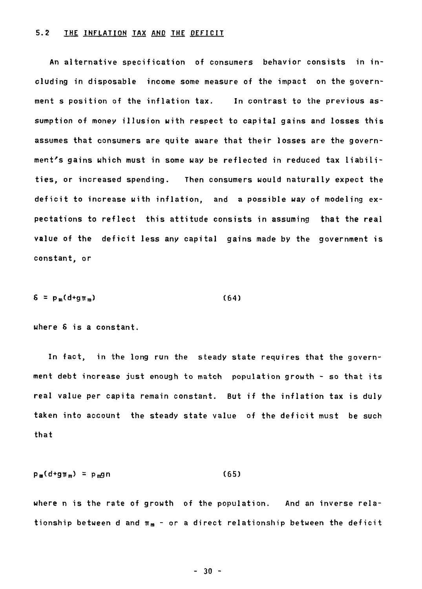## 5.2 THE INFLATION TAX AND THE DEFICIT

An alternative specification of consumers behavior consists in including in disposable income some measure of the impact on the government s position of the inflation tax. In contrast to the previous assumption of money illusion with respect to capital gains and losses this assumes that consumers are quite avare that their losses are the government's gains which must in some way be reflected in reduced tax liabilities, or increased spending. Then consumers would naturally expect the deficit to increase with inflation, and a possible way of modeling expectations to reflect this attitude consists in assuming that the real value of the deficit less any capital gains made by the government is constant, or

$$
\delta = p_m (d + g \pi_m) \tag{64}
$$

where 6 is a constant.

In fact, in the long run the steady state requires that the government debt increase just enough to match population growth - so that its real value per capita remain constant. But if the inflation tax is duly taken into account the steady state value of the deficit must be such that

$$
p_m(d+g_{\mathbb{T}_m}) = p_mgn \qquad (65)
$$

where n is the rate of growth of the population. And an inverse relationship between d and  $\pi_m$  - or a direct relationship between the deficit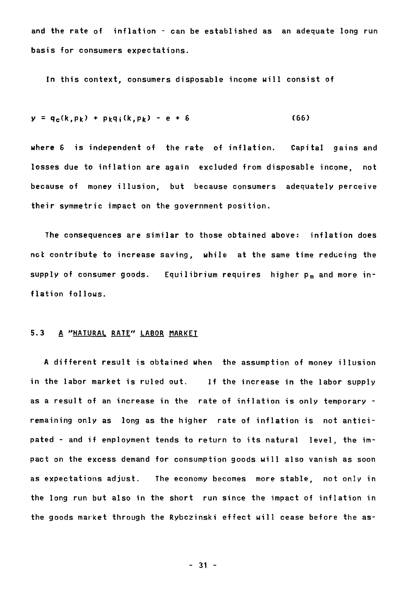**and the rate of inflation - can be established as an adequate long run basis for consumers expectations.** 

**In this context, consumers disposable income will consist of** 

$$
y = q_c(k, p_k) + p_k q_i(k, p_k) - e + \delta
$$
 (66)

**where 6 is independent of the rate of inflation. Capital gains and**  losses due to inflation are again excluded from disposable income, not **because of money illusion, but because consumers adequately perceive their symmetric impact on the government position.** 

**The consequences are similar to those obtained above: inflation does not contribute to increase saving, while at the same time reducing the**  supply of consumer goods. Equilibrium requires higher p<sub>m</sub> and more in**flation follows.** 

#### **5.3 A "NATURAL RATE" LABOR MARKET**

**A different result is obtained when the assumption of money illusion in the labor market is ruled out. If the increase in the labor supply as a result of an increase in the rate of inflation is only temporary remaining only as long as the higher rate of inflation is not anticipated - and if employment tends to return to its natural level, the impact on the excess demand for consumption goods will also vanish as soon as expectations adjust. The economy becomes more stable, not only in the long run but also in the short run since the impact of inflation in the goods market through the Rybczinski effect will cease before the as-**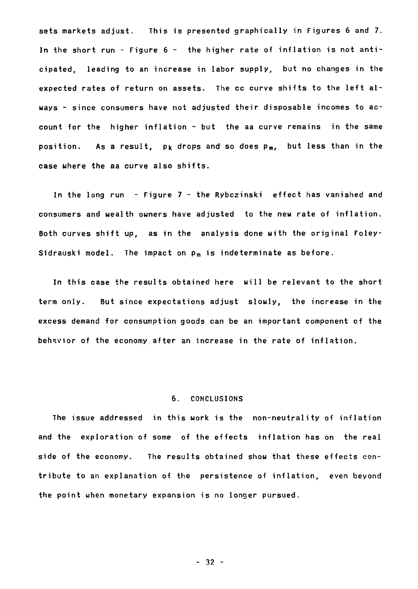sets markets adjust. This is presented graphically in Figures 6 and 7. In the short run - Figure 6 - the higher rate of inflation is not anticipated, leading to an increase in labor supply, but no changes in the expected rates of return on assets. The cc curve shifts to the left always - since consumers have not adjusted their disposable incomes to account for the higher inflation - but the aa curve remains in the same position. As a result,  $p_k$  drops and so does  $p_m$ , but less than in the case where the aa curve also shifts.

In the long run - Figure 7 - the Rybczinski effect has vanished and consumers and wealth owners have adjusted to the new rate of inflation. Both curves shift up, as in the analysis done with the original Foley-Sidrauski model. The impact on  $p_m$  is indeterminate as before.

In this case the results obtained here will be relevant to the short term only. But since expectations adjust slowly, the increase in the excess demand for consumption goods can be an important component of the behavior of the economy after an increase in the rate of inflation.

#### 6. CONCLUSIONS

The issue addressed in this work is the non-neutrality of inflation and the exploration of some of the effects inflation has on the real side of the economy. The results obtained show that these effects contribute to an explanation of the persistence of inflation, even beyond the point when monetary expansion is no longer pursued.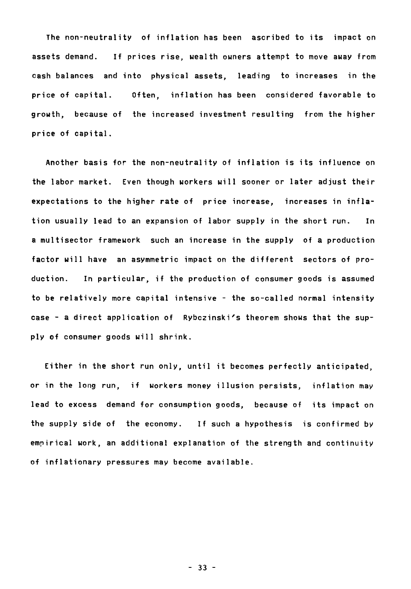**The non-neutrality of inflation has been ascribed to its impact on assets demand. If prices rise, wealth owners attempt to move away from cash balances and into physical assets, leading to increases in the price of capital. Often, inflation has been considered favorable to growth, because of the increased investment resulting from the higher price of capital.** 

**Another basis for the non-neutrality of inflation is its influence on the labor market. Even though workers will sooner or later adjust their expectations to the higher rate of price increase, increases in inflation usually lead to an expansion of labor supply in the short run. In a multisector framework such an increase in the supply of a production factor will have an asymmetric impact on the different sectors of production. In particular, if the production of consumer goods is assumed to be relatively more capital intensive - the so-called normal intensity case - a direct application of Rybczinski's theorem shows that the supply of consumer goods will shrink.** 

**Either in the short run only, until it becomes perfectly anticipated, or in the long run, if workers money illusion persists, inflation may lead to excess demand for consumption goods, because of its impact on the supply Bide of the economy. If such a hypothesis is confirmed by empirical work, an additional explanation of the strength and continuity of inflationary pressures may become available.** 

**- 33 -**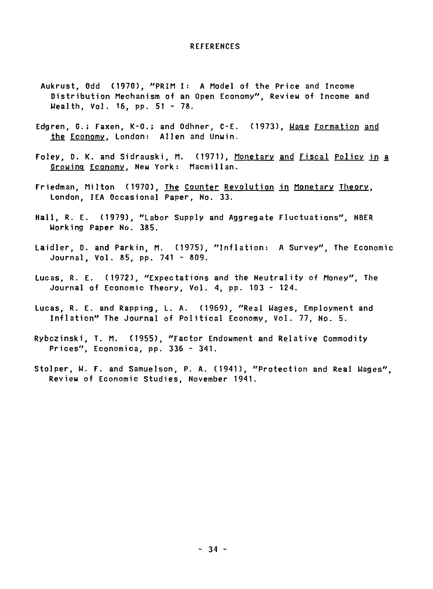#### **REFERENCES**

- **Aukrust, Odd (1970), "PRIM I: A Model of the Price and Income Distribution Mechanism of an Open Economy", Review of Income and Wealth, Vol. 16, pp. 51 - 78.**
- **Edgren, G.; Faxen, K-0.; and Odhner, C-E. (1973), Waqe Formation and the Economy, London: Allen and Unwin.**
- **Foley, D. K. and Sidrauski, M. (1971), Monetary and Fiscal Police in a Growinq Economy, New York: Macmillan.**
- **Friedman, Milton (1970), The Counter Revolution in Monetary Theory, London, IEA Occasional Paper, No. 33.**
- **Hall, R. E. (1979), "Labor Supply and Aggregate Fluctuations", NBER Working Paper No. 385.**
- **Laidler, D. and Parkin, M. (1975), "Inflation: A Survey", The Economic Journal, Vol. 85, pp. 741 - 809.**
- **Lucas, R. E. (1972), "Expectations and the Neutrality of Money", The Journal of Economic Theory, Vol. 4, pp. 103 - 124.**
- **Lucas, R. E. and Rapping, L. A. (1969), "Real Wages, Employment and Inflation" The Journal of Political Economy, Vol. 77, No. 5.**
- **Rybczinski, T. M. (1955), "Factor Endowment and Relative Commodity Prices", Economica, pp. 336 - 341.**
- **Stolper, W. F. and Samuelson, P. A. (1941), "Protection and Real Wages", Review of Economic Studies, November 1941.**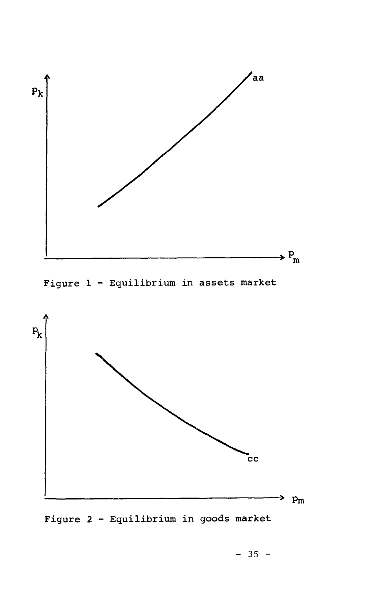

**Figure 1 - Equilibrium in assets market** 



**Figure 2 - Equilibrium in goods market**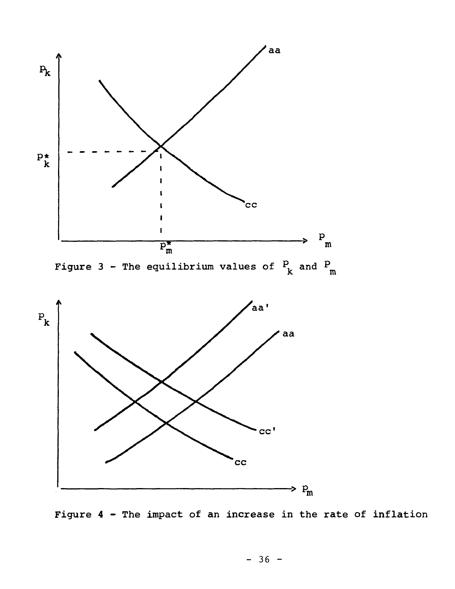



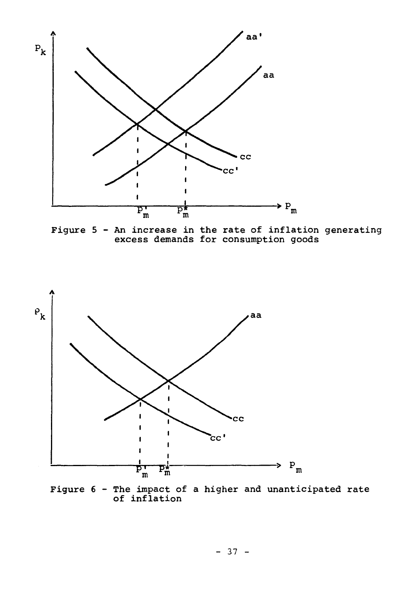

**Figure 5 - An increase in the rate of inflation generating excess demands for consumption goods** 



**Figure 6 - The impact of a higher and unanticipated rate of inflation**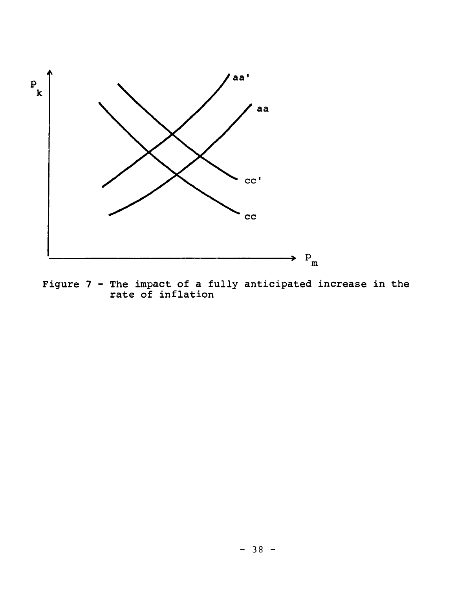

**Figure 7 - The impact of a fully anticipated increase in the rate of inflation**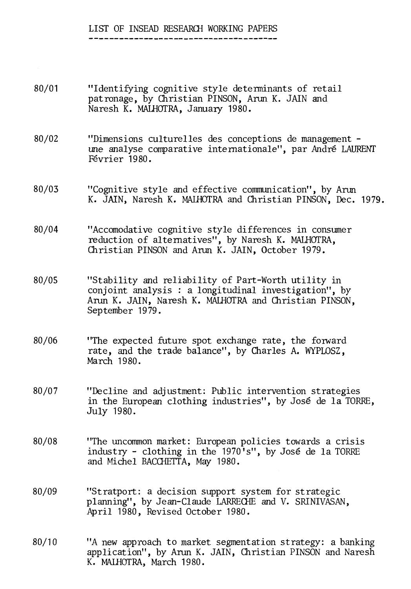# LIST OF INSEAD RESEARCH WORKING PAPERS

- 80/01 "Identifying cognitive style determinants of retail patronage, by Christian PINSON, Arun K. JAIN and Naresh K. MALHOTRA, January 1980.
- 80/02 "Dimensions culturelles des conceptions de management une analyse comparative internationale", par André LAURENT Février 1980.
- 80/03 "Cognitive style and effective communication", by Arun K. JAIN, Naresh K. MALHOTRA and Christian PINSON, Dec. 1979.
- 80/04 "Accomodative cognitive style differences in consumer reduction of alternatives", by Naresh K. MALHOTRA, Christian PINSON and Arun K. JAIN, October 1979.
- 80/05 "Stability and reliability of Part-Worth utility in conjoint analysis : a longitudinal investigation", by Arun K. JAIN, Naresh K. MALHOTRA and Christian PINSON, September 1979.
- 80/06 "The expected future spot exchange rate, the forward rate, and the trade balance", by Charles A. WYPLOSZ, March 1980.
- 80/07 "Decline and adjustment: Public intervention strategies in the European clothing industries", by José de la TORRE, July 1980.
- 80/08 "The uncommon market: European policies towards a crisis industry - clothing in the 1970's", by José de la TORRE and Michel BACCHETTA, May 1980.
- 80/09 "Stratport: a decision support system for strategic planning", by Jean-Claude LARRECHE and V. SRINIVASAN, April 1980, Revised October 1980.
- 80/10 "A new approach to market segmentation strategy: a banking application", by Arun K. JAIN, Christian PINSON and Naresh K. MALHOTRA, March 1980.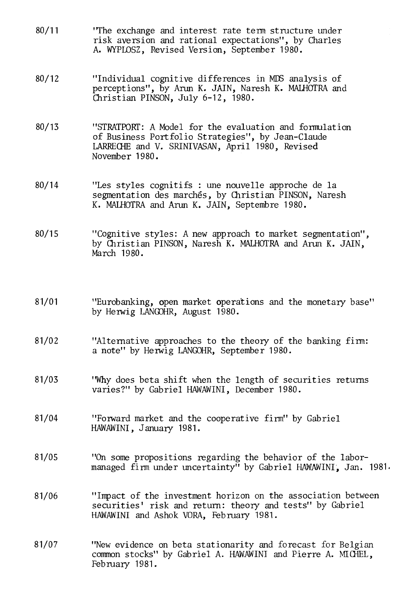- 80/11 "The exchange and interest rate terni structure under risk aversion and rational expectations", by Charles A. WYPLOSZ, Revised Version, September 1980.
- 80/12 "Individual cognitive differences in MES analysis of perceptions", by Arun K. JAIN, Naresh K. MALHOTRA and Christian PINSON, July 6-12, 1980.
- 80/13 "STRATPORT: A Model for the evaluation and formulation of Business Portfolio Strategies", by Jean-Claude LARRECHE and V. SRINIVASAN, April 1980, Revised November 1980.
- 80/14 "Les styles cognitifs : une nouvelle approche de la segmentation des marchés, by Christian PINSON, Naresh K. MALHOTRA and Arun K. JAIN, Septembre 1980.
- 80/15 "Cognitive styles: A new approach to market segmentation", by Christian PINSON, Naresh K. MALHOTRA and Arun K. JAIN, March 1980.
- 81/01 "Eurobanking, open market operations and the monetary base" by Herwig LANGOHR, August 1980.
- 81/02 "Alternative approaches to the theory of the banking firm: a note" by Herwig LANGOHR, September 1980.
- 81/03 "Why does beta shift when the length of securities returns varies?" by Gabriel HAWAWINI, December 1980.
- 81/04 "Forward market and the cooperative firm" by Gabriel HAWAWINI, January 1981.
- 81/05 "On some propositions regarding the behavior of the labormanaged firm under uncertainty" by Gabriel HAWAWINI; Jan. 1981.
- 81/06 "Impact of the investment horizon on the association between securities' risk and return: theory and tests" by Gabriel HAWAWINI and Ashok VORA, February 1981.
- 81/07 "New evidence on beta stationarity and forecast for Belgian common stocks" by Gabriel A. HAWAWINI and Pierre A. MICHEL, February 1981.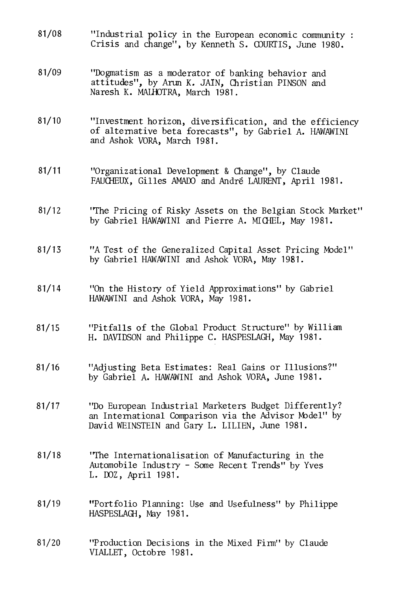- 81/08 "Industrial policy in the European economic community : Crisis and change", by Kenneth S. COURTIS, June 1980.
- 81/09 "Dogmatism as a moderator of banking behavior and attitudes", by Arun K. JAIN, Christian PINSON and Naresh K. MALHOTRA, March 1981.
- 81/10 "Investment horizon, diversification, and the efficiency of alternative beta forecasts", by Gabriel A. HAWAWINI and Ashok VORA, March 1981.
- 81/11 "Organizational Development & Change", by Claude FAUCHEUX, Gilles AMADO and André LAURENT, April 1981.
- 81/12 "The Pricing of Risky Assets on the Belgian Stock Market" by Gabriel HAWAWINI and Pierre A. MICHEL, May 1981.
- 81/13 "A Test of the Generalized Capital Asset Pricing Model" by Gabriel HAWAWINI and Ashok VORA, May 1981.
- 81/14 "On the History of Yield Approximations" by Gabriel HAWAWINI and Ashok VORA, May 1981.
- 81/15 "Pitfalls of the Global Product Structure" by William H. DAVIDSON and Philippe C. HASPESLAGH, May 1981.
- 81/16 "Adjusting Beta Estimates: Real Gains or Illusions?" by Gabriel A. HAWAWINI and Ashok VORA, June 1981.
- 81/17 "Do European Industrial Marketers Budget Differently? an International Comparison via the Advisor Model" by David WEINSTEIN and Gary L. LILIEN, June 1981.
- 81/18 "The Internationalisation of Manufacturing in the Automobile Industry - Some Recent Trends" by Yves L. DOZ, April 1981.
- 81/19 "Portfolio Planning: Use and Usefulness" by Philippe HASPESLAGH, May 1981.
- 81/20 "Production Decisions in the Mixed Firm" by Claude VIALLET, Octobre 1981.